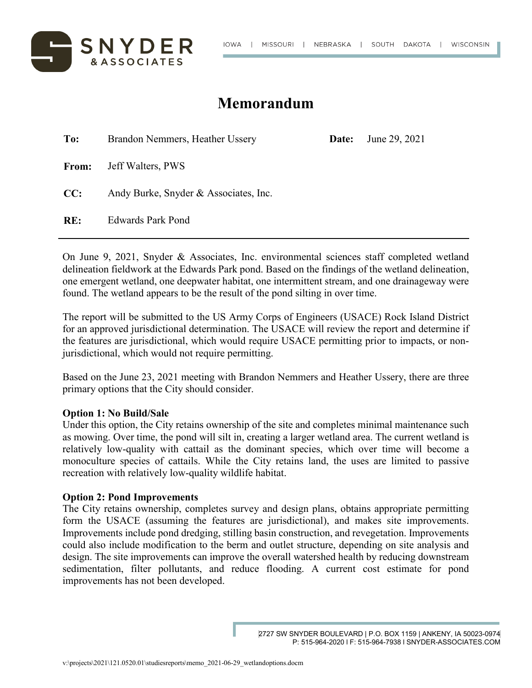



## **Memorandum**

| To:          | Brandon Nemmers, Heather Ussery       | Date: | June 29, 2021 |
|--------------|---------------------------------------|-------|---------------|
| <b>From:</b> | Jeff Walters, PWS                     |       |               |
| CC:          | Andy Burke, Snyder & Associates, Inc. |       |               |
| RE:          | <b>Edwards Park Pond</b>              |       |               |

On June 9, 2021, Snyder & Associates, Inc. environmental sciences staff completed wetland delineation fieldwork at the Edwards Park pond. Based on the findings of the wetland delineation, one emergent wetland, one deepwater habitat, one intermittent stream, and one drainageway were found. The wetland appears to be the result of the pond silting in over time.

The report will be submitted to the US Army Corps of Engineers (USACE) Rock Island District for an approved jurisdictional determination. The USACE will review the report and determine if the features are jurisdictional, which would require USACE permitting prior to impacts, or nonjurisdictional, which would not require permitting.

Based on the June 23, 2021 meeting with Brandon Nemmers and Heather Ussery, there are three primary options that the City should consider.

## **Option 1: No Build/Sale**

Under this option, the City retains ownership of the site and completes minimal maintenance such as mowing. Over time, the pond will silt in, creating a larger wetland area. The current wetland is relatively low-quality with cattail as the dominant species, which over time will become a monoculture species of cattails. While the City retains land, the uses are limited to passive recreation with relatively low-quality wildlife habitat.

## **Option 2: Pond Improvements**

The City retains ownership, completes survey and design plans, obtains appropriate permitting form the USACE (assuming the features are jurisdictional), and makes site improvements. Improvements include pond dredging, stilling basin construction, and revegetation. Improvements could also include modification to the berm and outlet structure, depending on site analysis and design. The site improvements can improve the overall watershed health by reducing downstream sedimentation, filter pollutants, and reduce flooding. A current cost estimate for pond improvements has not been developed.

<sup>2727</sup> SW SNYDER BOULEVARD | P.O. BOX 1159 | ANKENY, IA 50023-0974 P: 515-964-2020 l F: 515-964-7938 l SNYDER-ASSOCIATES.COM